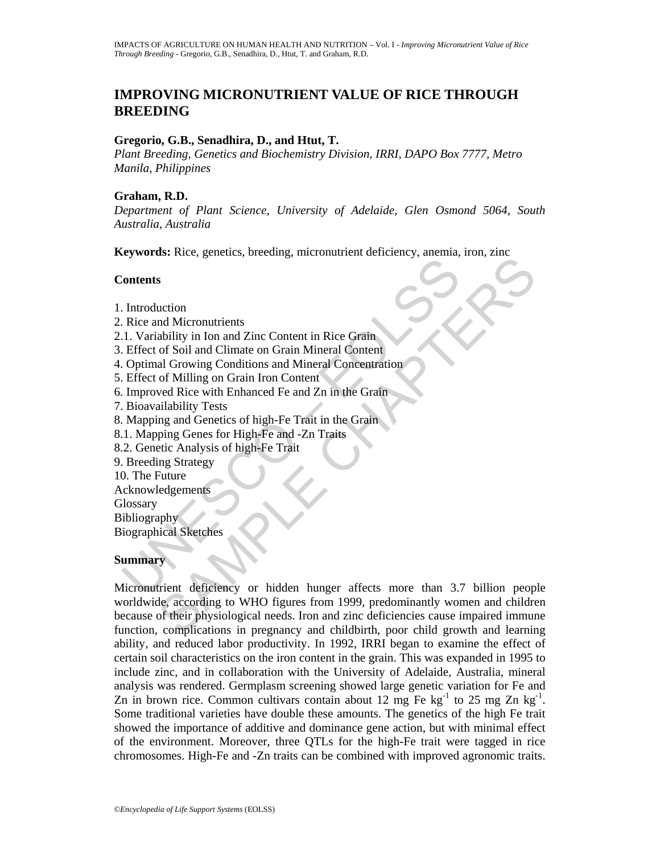# **IMPROVING MICRONUTRIENT VALUE OF RICE THROUGH BREEDING**

### **Gregorio, G.B., Senadhira, D., and Htut, T.**

*Plant Breeding, Genetics and Biochemistry Division, IRRI, DAPO Box 7777, Metro Manila, Philippines*

### **Graham, R.D.**

*Department of Plant Science, University of Adelaide, Glen Osmond 5064, South Australia, Australia* 

**Keywords:** Rice, genetics, breeding, micronutrient deficiency, anemia, iron, zinc

#### **Contents**

- 1. Introduction
- 2. Rice and Micronutrients
- 2.1. Variability in Ion and Zinc Content in Rice Grain
- 3. Effect of Soil and Climate on Grain Mineral Content
- 4. Optimal Growing Conditions and Mineral Concentration
- 5. Effect of Milling on Grain Iron Content
- 6. Improved Rice with Enhanced Fe and Zn in the Grain
- 7. Bioavailability Tests
- 8. Mapping and Genetics of high-Fe Trait in the Grain
- 8.1. Mapping Genes for High-Fe and -Zn Traits
- 8.2. Genetic Analysis of high-Fe Trait
- 9. Breeding Strategy
- 10. The Future
- Acknowledgements
- **Glossary**

Bibliography

Biographical Sketches

## **Summary**

For the Scheme of Scheme and Scheme and Scheme and Scheme and Scheme and Micronutrients<br>
1. Variability in Ion and Zinc Content in Rice Grain<br>
1. Variability in Ion and Zinc Content in Rice Grain<br>
1. Coptinal Growing Condi and Micronutrients<br>
and Micronutrients<br>
ability in Ion and Zinc Content in Rice Grain<br>
of Soil and Climate on Grain Mineral Content<br>
al Growing Conditions and Mineral Content<br>
al Growing Conditions and Mineral Concentratio Micronutrient deficiency or hidden hunger affects more than 3.7 billion people worldwide, according to WHO figures from 1999, predominantly women and children because of their physiological needs. Iron and zinc deficiencies cause impaired immune function, complications in pregnancy and childbirth, poor child growth and learning ability, and reduced labor productivity. In 1992, IRRI began to examine the effect of certain soil characteristics on the iron content in the grain. This was expanded in 1995 to include zinc, and in collaboration with the University of Adelaide, Australia, mineral analysis was rendered. Germplasm screening showed large genetic variation for Fe and Zn in brown rice. Common cultivars contain about 12 mg Fe kg<sup>-1</sup> to 25 mg Zn kg<sup>-1</sup>. Some traditional varieties have double these amounts. The genetics of the high Fe trait showed the importance of additive and dominance gene action, but with minimal effect of the environment. Moreover, three QTLs for the high-Fe trait were tagged in rice chromosomes. High-Fe and -Zn traits can be combined with improved agronomic traits.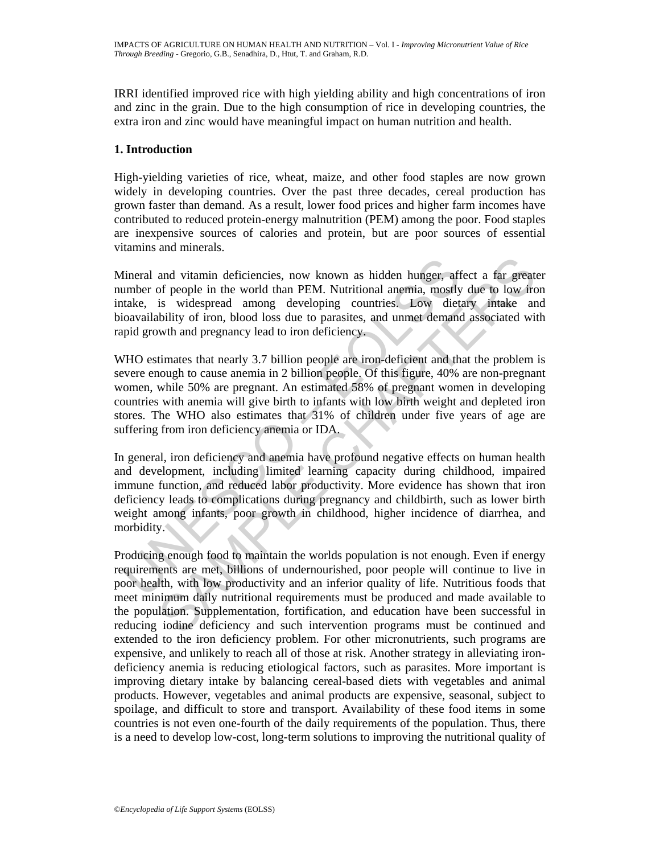IRRI identified improved rice with high yielding ability and high concentrations of iron and zinc in the grain. Due to the high consumption of rice in developing countries, the extra iron and zinc would have meaningful impact on human nutrition and health.

# **1. Introduction**

High-yielding varieties of rice, wheat, maize, and other food staples are now grown widely in developing countries. Over the past three decades, cereal production has grown faster than demand. As a result, lower food prices and higher farm incomes have contributed to reduced protein-energy malnutrition (PEM) among the poor. Food staples are inexpensive sources of calories and protein, but are poor sources of essential vitamins and minerals.

Mineral and vitamin deficiencies, now known as hidden hunger, affect a far greater number of people in the world than PEM. Nutritional anemia, mostly due to low iron intake, is widespread among developing countries. Low dietary intake and bioavailability of iron, blood loss due to parasites, and unmet demand associated with rapid growth and pregnancy lead to iron deficiency.

WHO estimates that nearly 3.7 billion people are iron-deficient and that the problem is severe enough to cause anemia in 2 billion people. Of this figure, 40% are non-pregnant women, while 50% are pregnant. An estimated 58% of pregnant women in developing countries with anemia will give birth to infants with low birth weight and depleted iron stores. The WHO also estimates that 31% of children under five years of age are suffering from iron deficiency anemia or IDA.

lineral and vitamin deficiencies, now known as hidden hunger, affumber of people in the world than PEM. Nutritional anemia, mostly unktake, is widespread among developing countries. Low dietioavailability of iron, blood lo In general, iron deficiency and anemia have profound negative effects on human health and development, including limited learning capacity during childhood, impaired immune function, and reduced labor productivity. More evidence has shown that iron deficiency leads to complications during pregnancy and childbirth, such as lower birth weight among infants, poor growth in childhood, higher incidence of diarrhea, and morbidity.

and vitamin deficiencies, now known as hidden hunger, affect a far great<br>of people in the world than PEM. Nutritional anemia, mostly due to low iro<br>is widespread among developing countries. Low dietary intake an<br>bility of Producing enough food to maintain the worlds population is not enough. Even if energy requirements are met, billions of undernourished, poor people will continue to live in poor health, with low productivity and an inferior quality of life. Nutritious foods that meet minimum daily nutritional requirements must be produced and made available to the population. Supplementation, fortification, and education have been successful in reducing iodine deficiency and such intervention programs must be continued and extended to the iron deficiency problem. For other micronutrients, such programs are expensive, and unlikely to reach all of those at risk. Another strategy in alleviating irondeficiency anemia is reducing etiological factors, such as parasites. More important is improving dietary intake by balancing cereal-based diets with vegetables and animal products. However, vegetables and animal products are expensive, seasonal, subject to spoilage, and difficult to store and transport. Availability of these food items in some countries is not even one-fourth of the daily requirements of the population. Thus, there is a need to develop low-cost, long-term solutions to improving the nutritional quality of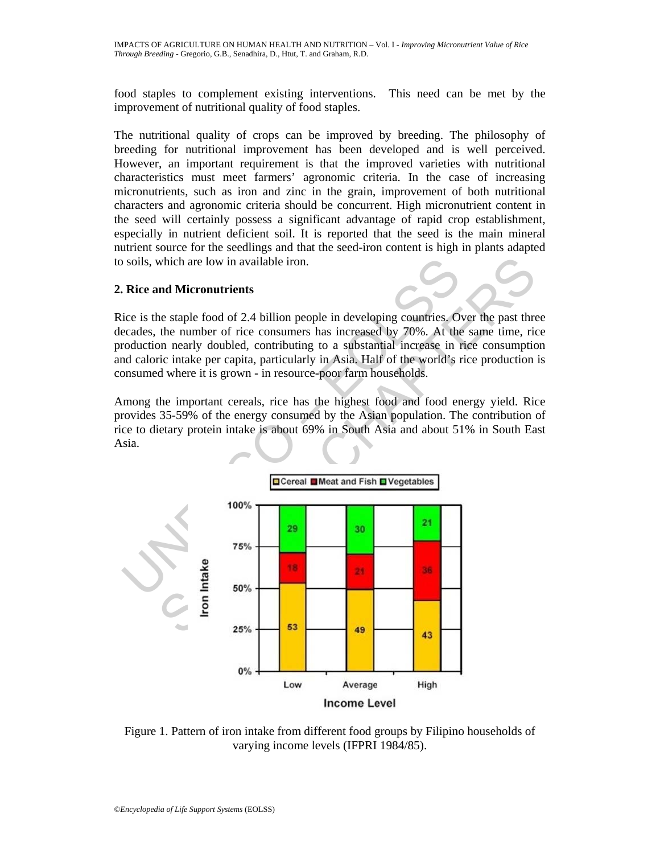food staples to complement existing interventions. This need can be met by the improvement of nutritional quality of food staples.

The nutritional quality of crops can be improved by breeding. The philosophy of breeding for nutritional improvement has been developed and is well perceived. However, an important requirement is that the improved varieties with nutritional characteristics must meet farmers' agronomic criteria. In the case of increasing micronutrients, such as iron and zinc in the grain, improvement of both nutritional characters and agronomic criteria should be concurrent. High micronutrient content in the seed will certainly possess a significant advantage of rapid crop establishment, especially in nutrient deficient soil. It is reported that the seed is the main mineral nutrient source for the seedlings and that the seed-iron content is high in plants adapted to soils, which are low in available iron.

# **2. Rice and Micronutrients**

Rice is the staple food of 2.4 billion people in developing countries. Over the past three decades, the number of rice consumers has increased by 70%. At the same time, rice production nearly doubled, contributing to a substantial increase in rice consumption and caloric intake per capita, particularly in Asia. Half of the world's rice production is consumed where it is grown - in resource-poor farm households.

Among the important cereals, rice has the highest food and food energy yield. Rice provides 35-59% of the energy consumed by the Asian population. The contribution of rice to dietary protein intake is about 69% in South Asia and about 51% in South East Asia.



Figure 1. Pattern of iron intake from different food groups by Filipino households of varying income levels (IFPRI 1984/85).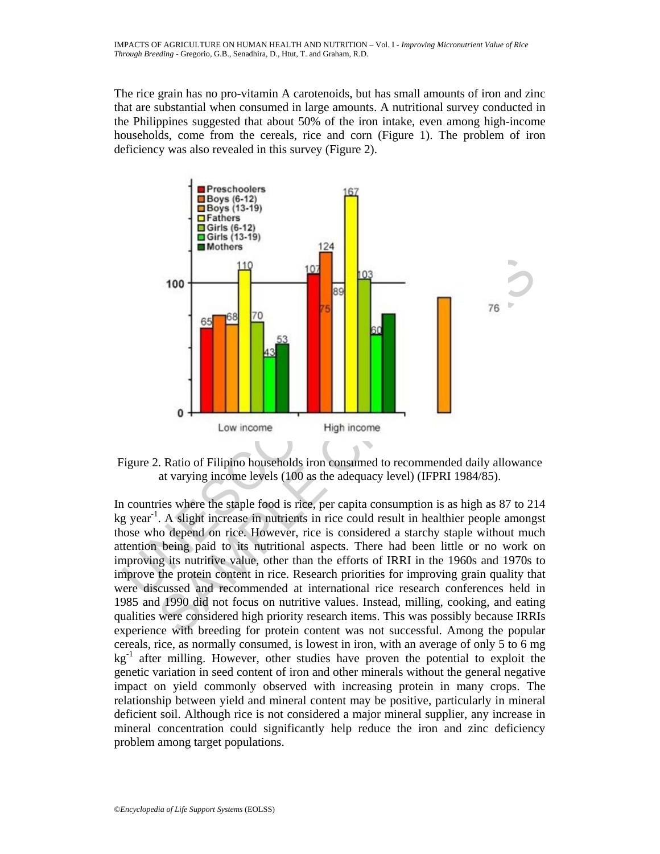The rice grain has no pro-vitamin A carotenoids, but has small amounts of iron and zinc that are substantial when consumed in large amounts. A nutritional survey conducted in the Philippines suggested that about 50% of the iron intake, even among high-income households, come from the cereals, rice and corn (Figure 1). The problem of iron deficiency was also revealed in this survey (Figure 2).



Figure 2. Ratio of Filipino households iron consumed to recommended daily allowance at varying income levels (100 as the adequacy level) (IFPRI 1984/85).

In countries where the staple food is rice, per capita consumption is as high as 87 to 214  $kg$  year<sup>-1</sup>. A slight increase in nutrients in rice could result in healthier people amongst those who depend on rice. However, rice is considered a starchy staple without much attention being paid to its nutritional aspects. There had been little or no work on improving its nutritive value, other than the efforts of IRRI in the 1960s and 1970s to improve the protein content in rice. Research priorities for improving grain quality that were discussed and recommended at international rice research conferences held in 1985 and 1990 did not focus on nutritive values. Instead, milling, cooking, and eating qualities were considered high priority research items. This was possibly because IRRIs experience with breeding for protein content was not successful. Among the popular cereals, rice, as normally consumed, is lowest in iron, with an average of only 5 to 6 mg  $kg<sup>-1</sup>$  after milling. However, other studies have proven the potential to exploit the genetic variation in seed content of iron and other minerals without the general negative impact on yield commonly observed with increasing protein in many crops. The relationship between yield and mineral content may be positive, particularly in mineral deficient soil. Although rice is not considered a major mineral supplier, any increase in mineral concentration could significantly help reduce the iron and zinc deficiency problem among target populations.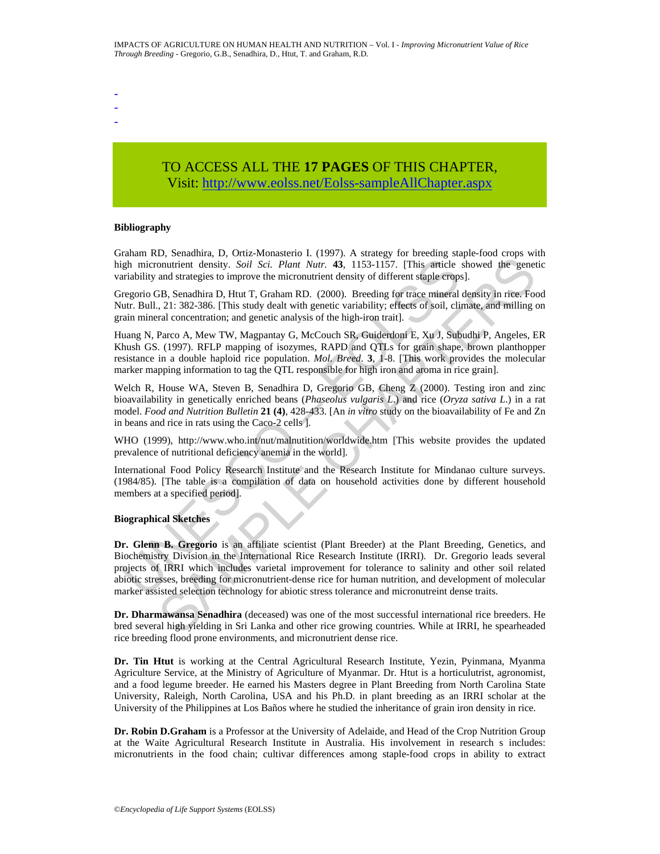- - -

# TO ACCESS ALL THE **17 PAGES** OF THIS CHAPTER, Visit[: http://www.eolss.net/Eolss-sampleAllChapter.aspx](https://www.eolss.net/ebooklib/sc_cart.aspx?File=E5-21-02-02)

#### **Bibliography**

Graham RD, Senadhira, D, Ortiz-Monasterio I. (1997). A strategy for breeding staple-food crops with high micronutrient density. *Soil Sci. Plant Nutr.* **43**, 1153-1157. [This article showed the genetic variability and strategies to improve the micronutrient density of different staple crops].

Gregorio GB, Senadhira D, Htut T, Graham RD. (2000). Breeding for trace mineral density in rice. Food Nutr. Bull., 21: 382-386. [This study dealt with genetic variability; effects of soil, climate, and milling on grain mineral concentration; and genetic analysis of the high-iron trait].

Huang N, Parco A, Mew TW, Magpantay G, McCouch SR, Guiderdoni E, Xu J, Subudhi P, Angeles, ER Khush GS. (1997). RFLP mapping of isozymes, RAPD and QTLs for grain shape, brown planthopper resistance in a double haploid rice population. *Mol. Breed*. **3**, 1-8. [This work provides the molecular marker mapping information to tag the QTL responsible for high iron and aroma in rice grain].

Welch R, House WA, Steven B, Senadhira D, Gregorio GB, Cheng Z (2000). Testing iron and zinc bioavailability in genetically enriched beans (*Phaseolus vulgaris L*.) and rice (*Oryza sativa L*.) in a rat model. *Food and Nutrition Bulletin* **21 (4)**, 428-433. [An *in vitro* study on the bioavailability of Fe and Zn in beans and rice in rats using the Caco-2 cells ].

WHO (1999), http://www.who.int/nut/malnutition/worldwide.htm [This website provides the updated prevalence of nutritional deficiency anemia in the world].

International Food Policy Research Institute and the Research Institute for Mindanao culture surveys. (1984/85). [The table is a compilation of data on household activities done by different household members at a specified period].

#### **Biographical Sketches**

gh micronutrient density. Soil Sci. Plant Nutr. 43, 1153-1157. [This article<br>gh micronutrient density. Soil Sci. Plant Nutr. 43, 1153-1157. [This article<br>triability and strategies to improve the micronutrient density of di 27. Containing 21. Oraz *Homatakura L. (1971)*. This antically reduction the entropy state of the speeches and strategies to improve the micronutrient density of different staple errops]. BB, Senadhira D, Hott T, Graham R **Dr. Glenn B. Gregorio** is an affiliate scientist (Plant Breeder) at the Plant Breeding, Genetics, and Biochemistry Division in the International Rice Research Institute (IRRI). Dr. Gregorio leads several projects of IRRI which includes varietal improvement for tolerance to salinity and other soil related abiotic stresses, breeding for micronutrient-dense rice for human nutrition, and development of molecular marker assisted selection technology for abiotic stress tolerance and micronutreint dense traits.

**Dr. Dharmawansa Senadhira** (deceased) was one of the most successful international rice breeders. He bred several high yielding in Sri Lanka and other rice growing countries. While at IRRI, he spearheaded rice breeding flood prone environments, and micronutrient dense rice.

**Dr. Tin Htut** is working at the Central Agricultural Research Institute, Yezin, Pyinmana, Myanma Agriculture Service, at the Ministry of Agriculture of Myanmar. Dr. Htut is a horticulutrist, agronomist, and a food legume breeder. He earned his Masters degree in Plant Breeding from North Carolina State University, Raleigh, North Carolina, USA and his Ph.D. in plant breeding as an IRRI scholar at the University of the Philippines at Los Baños where he studied the inheritance of grain iron density in rice.

**Dr. Robin D.Graham** is a Professor at the University of Adelaide, and Head of the Crop Nutrition Group at the Waite Agricultural Research Institute in Australia. His involvement in research s includes: micronutrients in the food chain; cultivar differences among staple-food crops in ability to extract